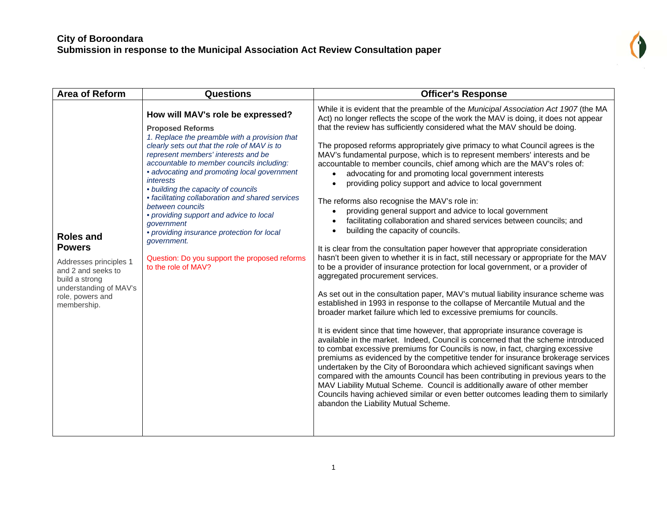| <b>Area of Reform</b>                                                                                                                                            | <b>Questions</b>                                                                                                                                                                                                                                                                                                                                                                                                                                                                                                                                                                                                          | <b>Officer's Response</b>                                                                                                                                                                                                                                                                                                                                                                                                                                                                                                                                                                                                                                                                                                                                                                                                                                                                                                                                                                                                                                                                                                                                                                                                                                                                                                                                                                                                                                                                                                                                                                                                                                                                                                                                                                                                                                                                                                                                                                                                                                                                                                                  |
|------------------------------------------------------------------------------------------------------------------------------------------------------------------|---------------------------------------------------------------------------------------------------------------------------------------------------------------------------------------------------------------------------------------------------------------------------------------------------------------------------------------------------------------------------------------------------------------------------------------------------------------------------------------------------------------------------------------------------------------------------------------------------------------------------|--------------------------------------------------------------------------------------------------------------------------------------------------------------------------------------------------------------------------------------------------------------------------------------------------------------------------------------------------------------------------------------------------------------------------------------------------------------------------------------------------------------------------------------------------------------------------------------------------------------------------------------------------------------------------------------------------------------------------------------------------------------------------------------------------------------------------------------------------------------------------------------------------------------------------------------------------------------------------------------------------------------------------------------------------------------------------------------------------------------------------------------------------------------------------------------------------------------------------------------------------------------------------------------------------------------------------------------------------------------------------------------------------------------------------------------------------------------------------------------------------------------------------------------------------------------------------------------------------------------------------------------------------------------------------------------------------------------------------------------------------------------------------------------------------------------------------------------------------------------------------------------------------------------------------------------------------------------------------------------------------------------------------------------------------------------------------------------------------------------------------------------------|
| <b>Roles and</b><br><b>Powers</b><br>Addresses principles 1<br>and 2 and seeks to<br>build a strong<br>understanding of MAV's<br>role, powers and<br>membership. | How will MAV's role be expressed?<br><b>Proposed Reforms</b><br>1. Replace the preamble with a provision that<br>clearly sets out that the role of MAV is to<br>represent members' interests and be<br>accountable to member councils including:<br>• advocating and promoting local government<br>interests<br>• building the capacity of councils<br>• facilitating collaboration and shared services<br>between councils<br>• providing support and advice to local<br>qovernment<br>• providing insurance protection for local<br>government.<br>Question: Do you support the proposed reforms<br>to the role of MAV? | While it is evident that the preamble of the Municipal Association Act 1907 (the MA<br>Act) no longer reflects the scope of the work the MAV is doing, it does not appear<br>that the review has sufficiently considered what the MAV should be doing.<br>The proposed reforms appropriately give primacy to what Council agrees is the<br>MAV's fundamental purpose, which is to represent members' interests and be<br>accountable to member councils, chief among which are the MAV's roles of:<br>advocating for and promoting local government interests<br>providing policy support and advice to local government<br>The reforms also recognise the MAV's role in:<br>providing general support and advice to local government<br>$\bullet$<br>facilitating collaboration and shared services between councils; and<br>building the capacity of councils.<br>It is clear from the consultation paper however that appropriate consideration<br>hasn't been given to whether it is in fact, still necessary or appropriate for the MAV<br>to be a provider of insurance protection for local government, or a provider of<br>aggregated procurement services.<br>As set out in the consultation paper, MAV's mutual liability insurance scheme was<br>established in 1993 in response to the collapse of Mercantile Mutual and the<br>broader market failure which led to excessive premiums for councils.<br>It is evident since that time however, that appropriate insurance coverage is<br>available in the market. Indeed, Council is concerned that the scheme introduced<br>to combat excessive premiums for Councils is now, in fact, charging excessive<br>premiums as evidenced by the competitive tender for insurance brokerage services<br>undertaken by the City of Boroondara which achieved significant savings when<br>compared with the amounts Council has been contributing in previous years to the<br>MAV Liability Mutual Scheme. Council is additionally aware of other member<br>Councils having achieved similar or even better outcomes leading them to similarly<br>abandon the Liability Mutual Scheme. |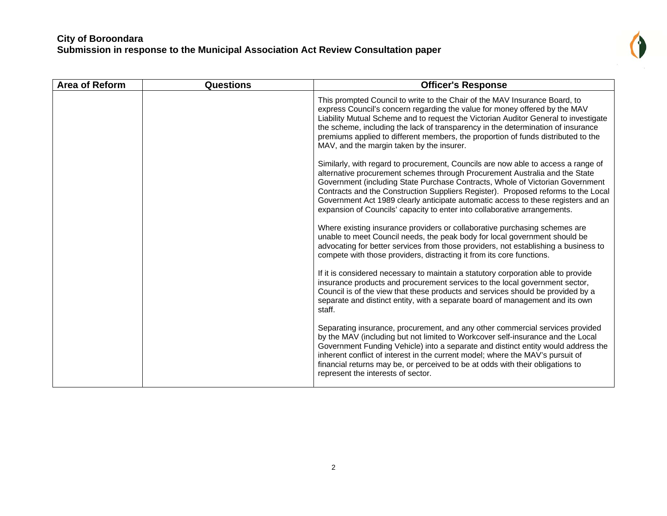

| Area of Reform | <b>Questions</b> | <b>Officer's Response</b>                                                                                                                                                                                                                                                                                                                                                                                                                                                                                |
|----------------|------------------|----------------------------------------------------------------------------------------------------------------------------------------------------------------------------------------------------------------------------------------------------------------------------------------------------------------------------------------------------------------------------------------------------------------------------------------------------------------------------------------------------------|
|                |                  | This prompted Council to write to the Chair of the MAV Insurance Board, to<br>express Council's concern regarding the value for money offered by the MAV<br>Liability Mutual Scheme and to request the Victorian Auditor General to investigate<br>the scheme, including the lack of transparency in the determination of insurance<br>premiums applied to different members, the proportion of funds distributed to the<br>MAV, and the margin taken by the insurer.                                    |
|                |                  | Similarly, with regard to procurement, Councils are now able to access a range of<br>alternative procurement schemes through Procurement Australia and the State<br>Government (including State Purchase Contracts, Whole of Victorian Government<br>Contracts and the Construction Suppliers Register). Proposed reforms to the Local<br>Government Act 1989 clearly anticipate automatic access to these registers and an<br>expansion of Councils' capacity to enter into collaborative arrangements. |
|                |                  | Where existing insurance providers or collaborative purchasing schemes are<br>unable to meet Council needs, the peak body for local government should be<br>advocating for better services from those providers, not establishing a business to<br>compete with those providers, distracting it from its core functions.                                                                                                                                                                                 |
|                |                  | If it is considered necessary to maintain a statutory corporation able to provide<br>insurance products and procurement services to the local government sector,<br>Council is of the view that these products and services should be provided by a<br>separate and distinct entity, with a separate board of management and its own<br>staff.                                                                                                                                                           |
|                |                  | Separating insurance, procurement, and any other commercial services provided<br>by the MAV (including but not limited to Workcover self-insurance and the Local<br>Government Funding Vehicle) into a separate and distinct entity would address the<br>inherent conflict of interest in the current model; where the MAV's pursuit of<br>financial returns may be, or perceived to be at odds with their obligations to<br>represent the interests of sector.                                          |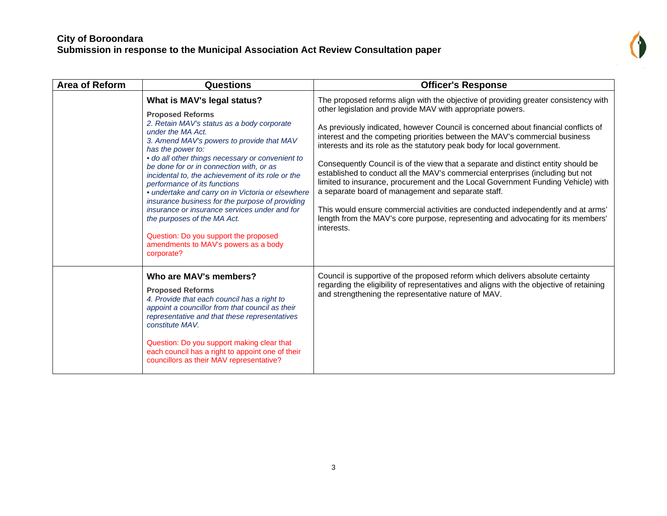

| Area of Reform | <b>Questions</b>                                                                                                                                                                                                                                                                                                                                                                                                                                                                                                                                                                                                                                                        | <b>Officer's Response</b>                                                                                                                                                                                                                                                                                                                                                                                                                                                                                                                                                                                                                                                                                                                                                                                                                                                                                |
|----------------|-------------------------------------------------------------------------------------------------------------------------------------------------------------------------------------------------------------------------------------------------------------------------------------------------------------------------------------------------------------------------------------------------------------------------------------------------------------------------------------------------------------------------------------------------------------------------------------------------------------------------------------------------------------------------|----------------------------------------------------------------------------------------------------------------------------------------------------------------------------------------------------------------------------------------------------------------------------------------------------------------------------------------------------------------------------------------------------------------------------------------------------------------------------------------------------------------------------------------------------------------------------------------------------------------------------------------------------------------------------------------------------------------------------------------------------------------------------------------------------------------------------------------------------------------------------------------------------------|
|                | What is MAV's legal status?<br><b>Proposed Reforms</b><br>2. Retain MAV's status as a body corporate<br>under the MA Act.<br>3. Amend MAV's powers to provide that MAV<br>has the power to:<br>· do all other things necessary or convenient to<br>be done for or in connection with, or as<br>incidental to, the achievement of its role or the<br>performance of its functions<br>· undertake and carry on in Victoria or elsewhere<br>insurance business for the purpose of providing<br>insurance or insurance services under and for<br>the purposes of the MA Act.<br>Question: Do you support the proposed<br>amendments to MAV's powers as a body<br>corporate? | The proposed reforms align with the objective of providing greater consistency with<br>other legislation and provide MAV with appropriate powers.<br>As previously indicated, however Council is concerned about financial conflicts of<br>interest and the competing priorities between the MAV's commercial business<br>interests and its role as the statutory peak body for local government.<br>Consequently Council is of the view that a separate and distinct entity should be<br>established to conduct all the MAV's commercial enterprises (including but not<br>limited to insurance, procurement and the Local Government Funding Vehicle) with<br>a separate board of management and separate staff.<br>This would ensure commercial activities are conducted independently and at arms'<br>length from the MAV's core purpose, representing and advocating for its members'<br>interests. |
|                | Who are MAV's members?<br><b>Proposed Reforms</b><br>4. Provide that each council has a right to<br>appoint a councillor from that council as their<br>representative and that these representatives<br>constitute MAV.<br>Question: Do you support making clear that<br>each council has a right to appoint one of their<br>councillors as their MAV representative?                                                                                                                                                                                                                                                                                                   | Council is supportive of the proposed reform which delivers absolute certainty<br>regarding the eligibility of representatives and aligns with the objective of retaining<br>and strengthening the representative nature of MAV.                                                                                                                                                                                                                                                                                                                                                                                                                                                                                                                                                                                                                                                                         |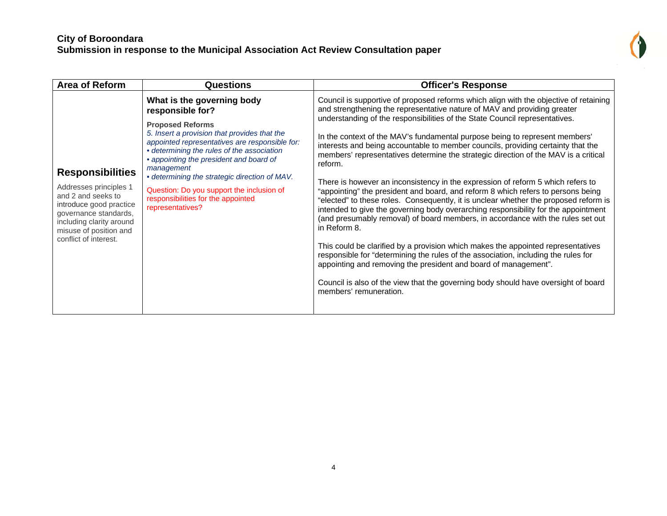

| <b>Area of Reform</b>                                                                                                                                                                                      | <b>Questions</b>                                                                                                                                                                                                                                                                                                                                                                                                                           | <b>Officer's Response</b>                                                                                                                                                                                                                                                                                                                                                                                                                                                                                                                                                                                                                                                                                                                                                                                                                                                                                                                                                                                                                                                                                                                                                                                                                                                                                                                  |
|------------------------------------------------------------------------------------------------------------------------------------------------------------------------------------------------------------|--------------------------------------------------------------------------------------------------------------------------------------------------------------------------------------------------------------------------------------------------------------------------------------------------------------------------------------------------------------------------------------------------------------------------------------------|--------------------------------------------------------------------------------------------------------------------------------------------------------------------------------------------------------------------------------------------------------------------------------------------------------------------------------------------------------------------------------------------------------------------------------------------------------------------------------------------------------------------------------------------------------------------------------------------------------------------------------------------------------------------------------------------------------------------------------------------------------------------------------------------------------------------------------------------------------------------------------------------------------------------------------------------------------------------------------------------------------------------------------------------------------------------------------------------------------------------------------------------------------------------------------------------------------------------------------------------------------------------------------------------------------------------------------------------|
| <b>Responsibilities</b><br>Addresses principles 1<br>and 2 and seeks to<br>introduce good practice<br>governance standards,<br>including clarity around<br>misuse of position and<br>conflict of interest. | What is the governing body<br>responsible for?<br><b>Proposed Reforms</b><br>5. Insert a provision that provides that the<br>appointed representatives are responsible for:<br>• determining the rules of the association<br>• appointing the president and board of<br>management<br>• determining the strategic direction of MAV.<br>Question: Do you support the inclusion of<br>responsibilities for the appointed<br>representatives? | Council is supportive of proposed reforms which align with the objective of retaining<br>and strengthening the representative nature of MAV and providing greater<br>understanding of the responsibilities of the State Council representatives.<br>In the context of the MAV's fundamental purpose being to represent members'<br>interests and being accountable to member councils, providing certainty that the<br>members' representatives determine the strategic direction of the MAV is a critical<br>reform.<br>There is however an inconsistency in the expression of reform 5 which refers to<br>"appointing" the president and board, and reform 8 which refers to persons being<br>"elected" to these roles. Consequently, it is unclear whether the proposed reform is<br>intended to give the governing body overarching responsibility for the appointment<br>(and presumably removal) of board members, in accordance with the rules set out<br>in Reform 8.<br>This could be clarified by a provision which makes the appointed representatives<br>responsible for "determining the rules of the association, including the rules for<br>appointing and removing the president and board of management".<br>Council is also of the view that the governing body should have oversight of board<br>members' remuneration. |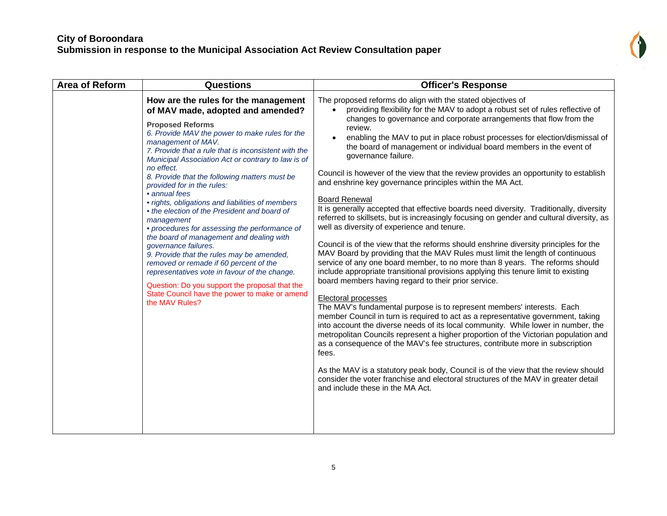

| <b>Area of Reform</b> | <b>Questions</b>                                                                                                                                                                                                                                                                                                                                                                                                                                                                                                                                                                                                                                                                                                                                                                                                                                                                                             | <b>Officer's Response</b>                                                                                                                                                                                                                                                                                                                                                                                                                                                                                                                                                                                                                                                                                                                                                                                                                                                                                                                                                                                                                                                                                                                                                                                                                                                                                                                                                                                                                                                                                                                                                                                                                                                                                                                                                                                                                                                                                                    |
|-----------------------|--------------------------------------------------------------------------------------------------------------------------------------------------------------------------------------------------------------------------------------------------------------------------------------------------------------------------------------------------------------------------------------------------------------------------------------------------------------------------------------------------------------------------------------------------------------------------------------------------------------------------------------------------------------------------------------------------------------------------------------------------------------------------------------------------------------------------------------------------------------------------------------------------------------|------------------------------------------------------------------------------------------------------------------------------------------------------------------------------------------------------------------------------------------------------------------------------------------------------------------------------------------------------------------------------------------------------------------------------------------------------------------------------------------------------------------------------------------------------------------------------------------------------------------------------------------------------------------------------------------------------------------------------------------------------------------------------------------------------------------------------------------------------------------------------------------------------------------------------------------------------------------------------------------------------------------------------------------------------------------------------------------------------------------------------------------------------------------------------------------------------------------------------------------------------------------------------------------------------------------------------------------------------------------------------------------------------------------------------------------------------------------------------------------------------------------------------------------------------------------------------------------------------------------------------------------------------------------------------------------------------------------------------------------------------------------------------------------------------------------------------------------------------------------------------------------------------------------------------|
|                       | How are the rules for the management<br>of MAV made, adopted and amended?<br><b>Proposed Reforms</b><br>6. Provide MAV the power to make rules for the<br>management of MAV.<br>7. Provide that a rule that is inconsistent with the<br>Municipal Association Act or contrary to law is of<br>no effect.<br>8. Provide that the following matters must be<br>provided for in the rules:<br>• annual fees<br>· rights, obligations and liabilities of members<br>• the election of the President and board of<br>management<br>• procedures for assessing the performance of<br>the board of management and dealing with<br>governance failures.<br>9. Provide that the rules may be amended,<br>removed or remade if 60 percent of the<br>representatives vote in favour of the change.<br>Question: Do you support the proposal that the<br>State Council have the power to make or amend<br>the MAV Rules? | The proposed reforms do align with the stated objectives of<br>providing flexibility for the MAV to adopt a robust set of rules reflective of<br>$\bullet$<br>changes to governance and corporate arrangements that flow from the<br>review.<br>enabling the MAV to put in place robust processes for election/dismissal of<br>the board of management or individual board members in the event of<br>governance failure.<br>Council is however of the view that the review provides an opportunity to establish<br>and enshrine key governance principles within the MA Act.<br><b>Board Renewal</b><br>It is generally accepted that effective boards need diversity. Traditionally, diversity<br>referred to skillsets, but is increasingly focusing on gender and cultural diversity, as<br>well as diversity of experience and tenure.<br>Council is of the view that the reforms should enshrine diversity principles for the<br>MAV Board by providing that the MAV Rules must limit the length of continuous<br>service of any one board member, to no more than 8 years. The reforms should<br>include appropriate transitional provisions applying this tenure limit to existing<br>board members having regard to their prior service.<br>Electoral processes<br>The MAV's fundamental purpose is to represent members' interests. Each<br>member Council in turn is required to act as a representative government, taking<br>into account the diverse needs of its local community. While lower in number, the<br>metropolitan Councils represent a higher proportion of the Victorian population and<br>as a consequence of the MAV's fee structures, contribute more in subscription<br>fees.<br>As the MAV is a statutory peak body, Council is of the view that the review should<br>consider the voter franchise and electoral structures of the MAV in greater detail<br>and include these in the MA Act. |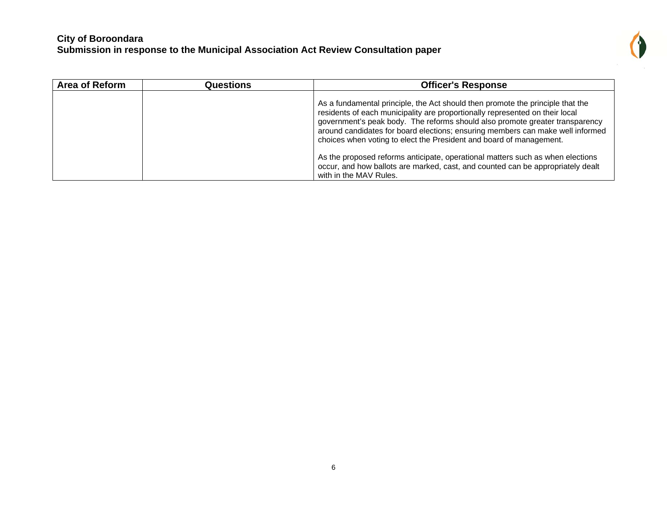

| <b>Area of Reform</b> | <b>Questions</b> | <b>Officer's Response</b>                                                                                                                                                                                                                                                                                                                                                                               |
|-----------------------|------------------|---------------------------------------------------------------------------------------------------------------------------------------------------------------------------------------------------------------------------------------------------------------------------------------------------------------------------------------------------------------------------------------------------------|
|                       |                  | As a fundamental principle, the Act should then promote the principle that the<br>residents of each municipality are proportionally represented on their local<br>government's peak body. The reforms should also promote greater transparency<br>around candidates for board elections; ensuring members can make well informed<br>choices when voting to elect the President and board of management. |
|                       |                  | As the proposed reforms anticipate, operational matters such as when elections<br>occur, and how ballots are marked, cast, and counted can be appropriately dealt<br>with in the MAV Rules.                                                                                                                                                                                                             |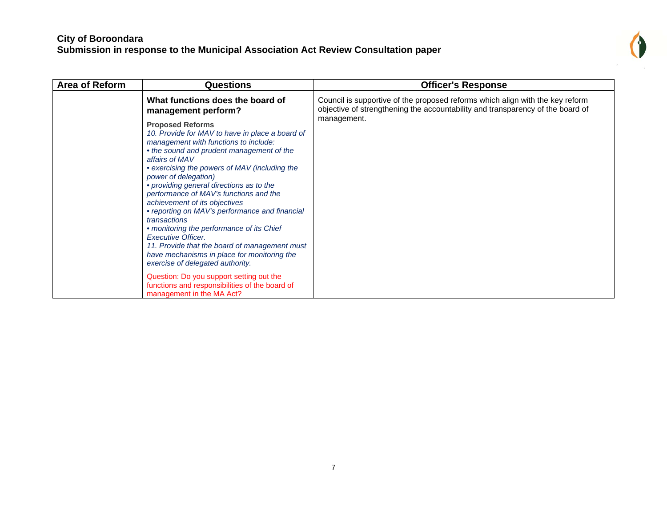

| <b>Area of Reform</b> | <b>Questions</b>                                                                                                                                                                                                                                                                                                                                                                                                                                                                                                                                                                                                                                                                                                                                                                       | <b>Officer's Response</b>                                                                                                                                       |
|-----------------------|----------------------------------------------------------------------------------------------------------------------------------------------------------------------------------------------------------------------------------------------------------------------------------------------------------------------------------------------------------------------------------------------------------------------------------------------------------------------------------------------------------------------------------------------------------------------------------------------------------------------------------------------------------------------------------------------------------------------------------------------------------------------------------------|-----------------------------------------------------------------------------------------------------------------------------------------------------------------|
|                       | What functions does the board of<br>management perform?                                                                                                                                                                                                                                                                                                                                                                                                                                                                                                                                                                                                                                                                                                                                | Council is supportive of the proposed reforms which align with the key reform<br>objective of strengthening the accountability and transparency of the board of |
|                       | <b>Proposed Reforms</b><br>10. Provide for MAV to have in place a board of<br>management with functions to include:<br>• the sound and prudent management of the<br>affairs of MAV<br>• exercising the powers of MAV (including the<br>power of delegation)<br>• providing general directions as to the<br>performance of MAV's functions and the<br>achievement of its objectives<br>• reporting on MAV's performance and financial<br>transactions<br>• monitoring the performance of its Chief<br>Executive Officer.<br>11. Provide that the board of management must<br>have mechanisms in place for monitoring the<br>exercise of delegated authority.<br>Question: Do you support setting out the<br>functions and responsibilities of the board of<br>management in the MA Act? | management.                                                                                                                                                     |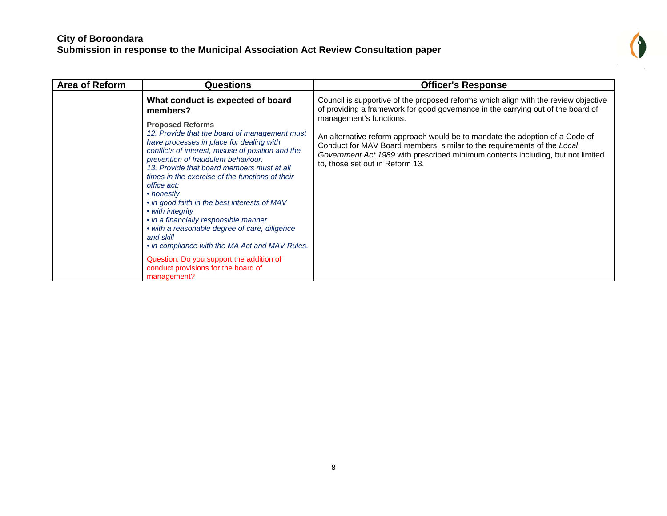

| <b>Area of Reform</b> | <b>Questions</b>                                                                                                                                                                                                                                                                                                                                                                                                                                                                                                                                                                                                                                                                                                               | <b>Officer's Response</b>                                                                                                                                                                                                                                                                                                                                                                                                                                                           |
|-----------------------|--------------------------------------------------------------------------------------------------------------------------------------------------------------------------------------------------------------------------------------------------------------------------------------------------------------------------------------------------------------------------------------------------------------------------------------------------------------------------------------------------------------------------------------------------------------------------------------------------------------------------------------------------------------------------------------------------------------------------------|-------------------------------------------------------------------------------------------------------------------------------------------------------------------------------------------------------------------------------------------------------------------------------------------------------------------------------------------------------------------------------------------------------------------------------------------------------------------------------------|
|                       | What conduct is expected of board<br>members?<br><b>Proposed Reforms</b><br>12. Provide that the board of management must<br>have processes in place for dealing with<br>conflicts of interest, misuse of position and the<br>prevention of fraudulent behaviour.<br>13. Provide that board members must at all<br>times in the exercise of the functions of their<br>office act:<br>• honestly<br>• in good faith in the best interests of MAV<br>• with integrity<br>• in a financially responsible manner<br>• with a reasonable degree of care, diligence<br>and skill<br>• in compliance with the MA Act and MAV Rules.<br>Question: Do you support the addition of<br>conduct provisions for the board of<br>management? | Council is supportive of the proposed reforms which align with the review objective<br>of providing a framework for good governance in the carrying out of the board of<br>management's functions.<br>An alternative reform approach would be to mandate the adoption of a Code of<br>Conduct for MAV Board members, similar to the requirements of the Local<br>Government Act 1989 with prescribed minimum contents including, but not limited<br>to, those set out in Reform 13. |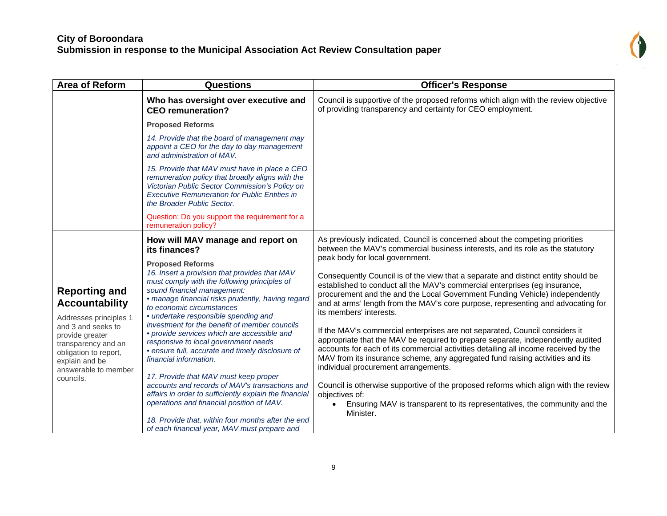| <b>Area of Reform</b>                                                                                                                                                                                                   | <b>Questions</b>                                                                                                                                                                                                                                                                                                                                                                                                                                                                                                                                                                                                                                                                                                                                                                                                | <b>Officer's Response</b>                                                                                                                                                                                                                                                                                                                                                                                                                                                                                                                                                                                                                                                                                                                                                                                                                                                                                                                                                             |
|-------------------------------------------------------------------------------------------------------------------------------------------------------------------------------------------------------------------------|-----------------------------------------------------------------------------------------------------------------------------------------------------------------------------------------------------------------------------------------------------------------------------------------------------------------------------------------------------------------------------------------------------------------------------------------------------------------------------------------------------------------------------------------------------------------------------------------------------------------------------------------------------------------------------------------------------------------------------------------------------------------------------------------------------------------|---------------------------------------------------------------------------------------------------------------------------------------------------------------------------------------------------------------------------------------------------------------------------------------------------------------------------------------------------------------------------------------------------------------------------------------------------------------------------------------------------------------------------------------------------------------------------------------------------------------------------------------------------------------------------------------------------------------------------------------------------------------------------------------------------------------------------------------------------------------------------------------------------------------------------------------------------------------------------------------|
|                                                                                                                                                                                                                         | Who has oversight over executive and<br><b>CEO</b> remuneration?                                                                                                                                                                                                                                                                                                                                                                                                                                                                                                                                                                                                                                                                                                                                                | Council is supportive of the proposed reforms which align with the review objective<br>of providing transparency and certainty for CEO employment.                                                                                                                                                                                                                                                                                                                                                                                                                                                                                                                                                                                                                                                                                                                                                                                                                                    |
|                                                                                                                                                                                                                         | <b>Proposed Reforms</b>                                                                                                                                                                                                                                                                                                                                                                                                                                                                                                                                                                                                                                                                                                                                                                                         |                                                                                                                                                                                                                                                                                                                                                                                                                                                                                                                                                                                                                                                                                                                                                                                                                                                                                                                                                                                       |
|                                                                                                                                                                                                                         | 14. Provide that the board of management may<br>appoint a CEO for the day to day management<br>and administration of MAV.                                                                                                                                                                                                                                                                                                                                                                                                                                                                                                                                                                                                                                                                                       |                                                                                                                                                                                                                                                                                                                                                                                                                                                                                                                                                                                                                                                                                                                                                                                                                                                                                                                                                                                       |
|                                                                                                                                                                                                                         | 15. Provide that MAV must have in place a CEO<br>remuneration policy that broadly aligns with the<br>Victorian Public Sector Commission's Policy on<br><b>Executive Remuneration for Public Entities in</b><br>the Broader Public Sector.                                                                                                                                                                                                                                                                                                                                                                                                                                                                                                                                                                       |                                                                                                                                                                                                                                                                                                                                                                                                                                                                                                                                                                                                                                                                                                                                                                                                                                                                                                                                                                                       |
|                                                                                                                                                                                                                         | Question: Do you support the requirement for a<br>remuneration policy?                                                                                                                                                                                                                                                                                                                                                                                                                                                                                                                                                                                                                                                                                                                                          |                                                                                                                                                                                                                                                                                                                                                                                                                                                                                                                                                                                                                                                                                                                                                                                                                                                                                                                                                                                       |
|                                                                                                                                                                                                                         | How will MAV manage and report on<br>its finances?                                                                                                                                                                                                                                                                                                                                                                                                                                                                                                                                                                                                                                                                                                                                                              | As previously indicated, Council is concerned about the competing priorities<br>between the MAV's commercial business interests, and its role as the statutory                                                                                                                                                                                                                                                                                                                                                                                                                                                                                                                                                                                                                                                                                                                                                                                                                        |
| <b>Reporting and</b><br><b>Accountability</b><br>Addresses principles 1<br>and 3 and seeks to<br>provide greater<br>transparency and an<br>obligation to report,<br>explain and be<br>answerable to member<br>councils. | <b>Proposed Reforms</b><br>16. Insert a provision that provides that MAV<br>must comply with the following principles of<br>sound financial management:<br>· manage financial risks prudently, having regard<br>to economic circumstances<br>• undertake responsible spending and<br>investment for the benefit of member councils<br>· provide services which are accessible and<br>responsive to local government needs<br>· ensure full, accurate and timely disclosure of<br>financial information.<br>17. Provide that MAV must keep proper<br>accounts and records of MAV's transactions and<br>affairs in order to sufficiently explain the financial<br>operations and financial position of MAV.<br>18. Provide that, within four months after the end<br>of each financial year, MAV must prepare and | peak body for local government.<br>Consequently Council is of the view that a separate and distinct entity should be<br>established to conduct all the MAV's commercial enterprises (eg insurance,<br>procurement and the and the Local Government Funding Vehicle) independently<br>and at arms' length from the MAV's core purpose, representing and advocating for<br>its members' interests.<br>If the MAV's commercial enterprises are not separated, Council considers it<br>appropriate that the MAV be required to prepare separate, independently audited<br>accounts for each of its commercial activities detailing all income received by the<br>MAV from its insurance scheme, any aggregated fund raising activities and its<br>individual procurement arrangements.<br>Council is otherwise supportive of the proposed reforms which align with the review<br>objectives of:<br>Ensuring MAV is transparent to its representatives, the community and the<br>Minister. |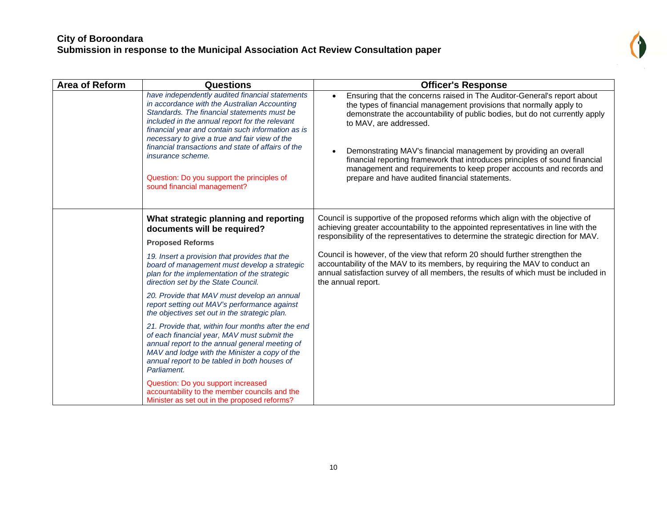

| <b>Area of Reform</b> | <b>Questions</b>                                                                                                                                                                                                                                                                                                                                                                                                                                               | <b>Officer's Response</b>                                                                                                                                                                                                                                                                                                                                                                                                                                                                                                                                     |
|-----------------------|----------------------------------------------------------------------------------------------------------------------------------------------------------------------------------------------------------------------------------------------------------------------------------------------------------------------------------------------------------------------------------------------------------------------------------------------------------------|---------------------------------------------------------------------------------------------------------------------------------------------------------------------------------------------------------------------------------------------------------------------------------------------------------------------------------------------------------------------------------------------------------------------------------------------------------------------------------------------------------------------------------------------------------------|
|                       | have independently audited financial statements<br>in accordance with the Australian Accounting<br>Standards. The financial statements must be<br>included in the annual report for the relevant<br>financial year and contain such information as is<br>necessary to give a true and fair view of the<br>financial transactions and state of affairs of the<br>insurance scheme.<br>Question: Do you support the principles of<br>sound financial management? | Ensuring that the concerns raised in The Auditor-General's report about<br>$\bullet$<br>the types of financial management provisions that normally apply to<br>demonstrate the accountability of public bodies, but do not currently apply<br>to MAV, are addressed.<br>Demonstrating MAV's financial management by providing an overall<br>$\bullet$<br>financial reporting framework that introduces principles of sound financial<br>management and requirements to keep proper accounts and records and<br>prepare and have audited financial statements. |
|                       | What strategic planning and reporting<br>documents will be required?<br><b>Proposed Reforms</b>                                                                                                                                                                                                                                                                                                                                                                | Council is supportive of the proposed reforms which align with the objective of<br>achieving greater accountability to the appointed representatives in line with the<br>responsibility of the representatives to determine the strategic direction for MAV.                                                                                                                                                                                                                                                                                                  |
|                       | 19. Insert a provision that provides that the<br>board of management must develop a strategic<br>plan for the implementation of the strategic<br>direction set by the State Council.                                                                                                                                                                                                                                                                           | Council is however, of the view that reform 20 should further strengthen the<br>accountability of the MAV to its members, by requiring the MAV to conduct an<br>annual satisfaction survey of all members, the results of which must be included in<br>the annual report.                                                                                                                                                                                                                                                                                     |
|                       | 20. Provide that MAV must develop an annual<br>report setting out MAV's performance against<br>the objectives set out in the strategic plan.                                                                                                                                                                                                                                                                                                                   |                                                                                                                                                                                                                                                                                                                                                                                                                                                                                                                                                               |
|                       | 21. Provide that, within four months after the end<br>of each financial year, MAV must submit the<br>annual report to the annual general meeting of<br>MAV and lodge with the Minister a copy of the<br>annual report to be tabled in both houses of<br>Parliament.                                                                                                                                                                                            |                                                                                                                                                                                                                                                                                                                                                                                                                                                                                                                                                               |
|                       | Question: Do you support increased<br>accountability to the member councils and the<br>Minister as set out in the proposed reforms?                                                                                                                                                                                                                                                                                                                            |                                                                                                                                                                                                                                                                                                                                                                                                                                                                                                                                                               |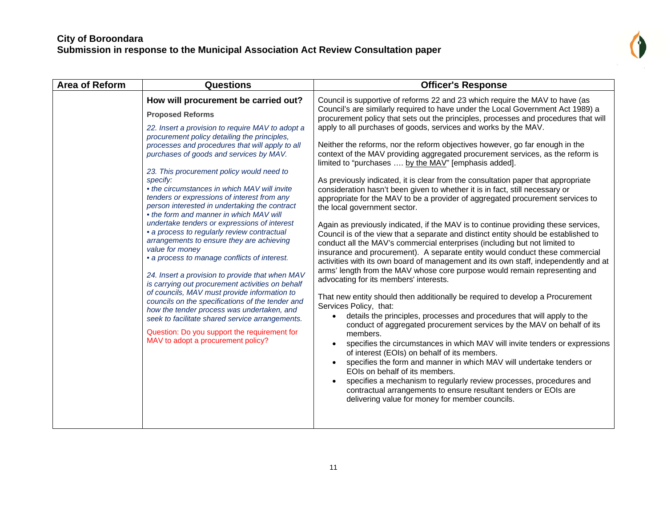

| <b>Area of Reform</b> | <b>Questions</b>                                                                                                                                                                                                                                                                                                                                                                                                                                                                                                                                                                                                                                                                                                                                                                                                                                                                                                                                                                                                                                                                                                                       | <b>Officer's Response</b>                                                                                                                                                                                                                                                                                                                                                                                                                                                                                                                                                                                                                                                                                                                                                                                                                                                                                                                                                                                                                                                                                                                                                                                                                                                                                                                                                                                                                                                                                                                                                                                                                                                                                                                                                                                                                                                                                                                                                                                                                                                                                               |
|-----------------------|----------------------------------------------------------------------------------------------------------------------------------------------------------------------------------------------------------------------------------------------------------------------------------------------------------------------------------------------------------------------------------------------------------------------------------------------------------------------------------------------------------------------------------------------------------------------------------------------------------------------------------------------------------------------------------------------------------------------------------------------------------------------------------------------------------------------------------------------------------------------------------------------------------------------------------------------------------------------------------------------------------------------------------------------------------------------------------------------------------------------------------------|-------------------------------------------------------------------------------------------------------------------------------------------------------------------------------------------------------------------------------------------------------------------------------------------------------------------------------------------------------------------------------------------------------------------------------------------------------------------------------------------------------------------------------------------------------------------------------------------------------------------------------------------------------------------------------------------------------------------------------------------------------------------------------------------------------------------------------------------------------------------------------------------------------------------------------------------------------------------------------------------------------------------------------------------------------------------------------------------------------------------------------------------------------------------------------------------------------------------------------------------------------------------------------------------------------------------------------------------------------------------------------------------------------------------------------------------------------------------------------------------------------------------------------------------------------------------------------------------------------------------------------------------------------------------------------------------------------------------------------------------------------------------------------------------------------------------------------------------------------------------------------------------------------------------------------------------------------------------------------------------------------------------------------------------------------------------------------------------------------------------------|
|                       | How will procurement be carried out?<br><b>Proposed Reforms</b><br>22. Insert a provision to require MAV to adopt a<br>procurement policy detailing the principles,<br>processes and procedures that will apply to all<br>purchases of goods and services by MAV.<br>23. This procurement policy would need to<br>specify:<br>• the circumstances in which MAV will invite<br>tenders or expressions of interest from any<br>person interested in undertaking the contract<br>• the form and manner in which MAV will<br>undertake tenders or expressions of interest<br>• a process to regularly review contractual<br>arrangements to ensure they are achieving<br>value for money<br>• a process to manage conflicts of interest.<br>24. Insert a provision to provide that when MAV<br>is carrying out procurement activities on behalf<br>of councils, MAV must provide information to<br>councils on the specifications of the tender and<br>how the tender process was undertaken, and<br>seek to facilitate shared service arrangements.<br>Question: Do you support the requirement for<br>MAV to adopt a procurement policy? | Council is supportive of reforms 22 and 23 which require the MAV to have (as<br>Council's are similarly required to have under the Local Government Act 1989) a<br>procurement policy that sets out the principles, processes and procedures that will<br>apply to all purchases of goods, services and works by the MAV.<br>Neither the reforms, nor the reform objectives however, go far enough in the<br>context of the MAV providing aggregated procurement services, as the reform is<br>limited to "purchases  by the MAV" [emphasis added].<br>As previously indicated, it is clear from the consultation paper that appropriate<br>consideration hasn't been given to whether it is in fact, still necessary or<br>appropriate for the MAV to be a provider of aggregated procurement services to<br>the local government sector.<br>Again as previously indicated, if the MAV is to continue providing these services,<br>Council is of the view that a separate and distinct entity should be established to<br>conduct all the MAV's commercial enterprises (including but not limited to<br>insurance and procurement). A separate entity would conduct these commercial<br>activities with its own board of management and its own staff, independently and at<br>arms' length from the MAV whose core purpose would remain representing and<br>advocating for its members' interests.<br>That new entity should then additionally be required to develop a Procurement<br>Services Policy, that:<br>details the principles, processes and procedures that will apply to the<br>conduct of aggregated procurement services by the MAV on behalf of its<br>members.<br>specifies the circumstances in which MAV will invite tenders or expressions<br>of interest (EOIs) on behalf of its members.<br>specifies the form and manner in which MAV will undertake tenders or<br>EOIs on behalf of its members.<br>specifies a mechanism to regularly review processes, procedures and<br>contractual arrangements to ensure resultant tenders or EOIs are<br>delivering value for money for member councils. |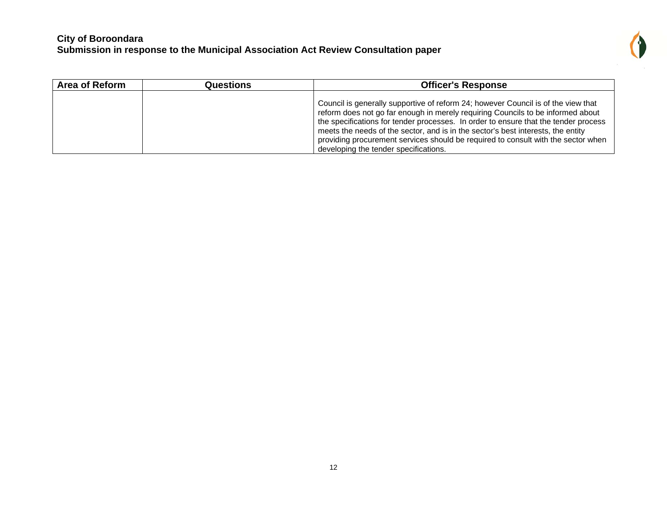

| <b>Area of Reform</b> | Questions | <b>Officer's Response</b>                                                                                                                                                                                                                                                                                                                                                                                                                                                     |
|-----------------------|-----------|-------------------------------------------------------------------------------------------------------------------------------------------------------------------------------------------------------------------------------------------------------------------------------------------------------------------------------------------------------------------------------------------------------------------------------------------------------------------------------|
|                       |           | Council is generally supportive of reform 24; however Council is of the view that<br>reform does not go far enough in merely requiring Councils to be informed about<br>the specifications for tender processes. In order to ensure that the tender process<br>meets the needs of the sector, and is in the sector's best interests, the entity<br>providing procurement services should be required to consult with the sector when<br>developing the tender specifications. |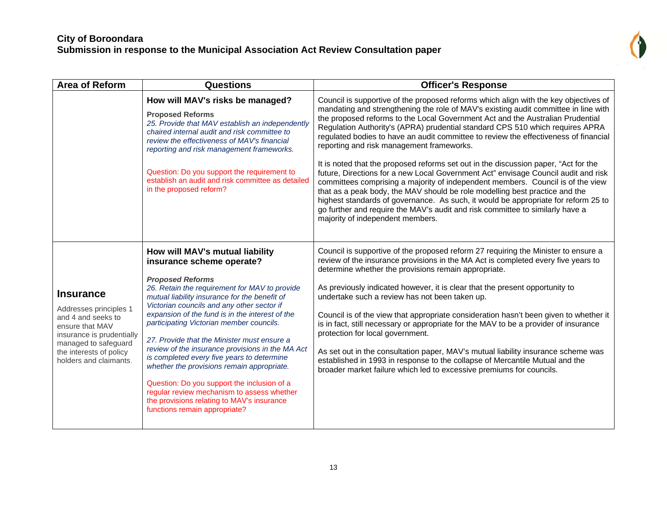

| <b>Area of Reform</b>                                                                                                                                                                         | <b>Questions</b>                                                                                                                                                                                                                                                                                                                                                                                                                                                                                                                                                                                                                                                                                                  | <b>Officer's Response</b>                                                                                                                                                                                                                                                                                                                                                                                                                                                                                                                                                                                                                                                                                                                                                                                                           |
|-----------------------------------------------------------------------------------------------------------------------------------------------------------------------------------------------|-------------------------------------------------------------------------------------------------------------------------------------------------------------------------------------------------------------------------------------------------------------------------------------------------------------------------------------------------------------------------------------------------------------------------------------------------------------------------------------------------------------------------------------------------------------------------------------------------------------------------------------------------------------------------------------------------------------------|-------------------------------------------------------------------------------------------------------------------------------------------------------------------------------------------------------------------------------------------------------------------------------------------------------------------------------------------------------------------------------------------------------------------------------------------------------------------------------------------------------------------------------------------------------------------------------------------------------------------------------------------------------------------------------------------------------------------------------------------------------------------------------------------------------------------------------------|
|                                                                                                                                                                                               | How will MAV's risks be managed?<br><b>Proposed Reforms</b><br>25. Provide that MAV establish an independently<br>chaired internal audit and risk committee to<br>review the effectiveness of MAV's financial<br>reporting and risk management frameworks.                                                                                                                                                                                                                                                                                                                                                                                                                                                        | Council is supportive of the proposed reforms which align with the key objectives of<br>mandating and strengthening the role of MAV's existing audit committee in line with<br>the proposed reforms to the Local Government Act and the Australian Prudential<br>Regulation Authority's (APRA) prudential standard CPS 510 which requires APRA<br>regulated bodies to have an audit committee to review the effectiveness of financial<br>reporting and risk management frameworks.                                                                                                                                                                                                                                                                                                                                                 |
|                                                                                                                                                                                               | Question: Do you support the requirement to<br>establish an audit and risk committee as detailed<br>in the proposed reform?                                                                                                                                                                                                                                                                                                                                                                                                                                                                                                                                                                                       | It is noted that the proposed reforms set out in the discussion paper, "Act for the<br>future, Directions for a new Local Government Act" envisage Council audit and risk<br>committees comprising a majority of independent members. Council is of the view<br>that as a peak body, the MAV should be role modelling best practice and the<br>highest standards of governance. As such, it would be appropriate for reform 25 to<br>go further and require the MAV's audit and risk committee to similarly have a<br>majority of independent members.                                                                                                                                                                                                                                                                              |
| <b>Insurance</b><br>Addresses principles 1<br>and 4 and seeks to<br>ensure that MAV<br>insurance is prudentially<br>managed to safeguard<br>the interests of policy<br>holders and claimants. | How will MAV's mutual liability<br>insurance scheme operate?<br><b>Proposed Reforms</b><br>26. Retain the requirement for MAV to provide<br>mutual liability insurance for the benefit of<br>Victorian councils and any other sector if<br>expansion of the fund is in the interest of the<br>participating Victorian member councils.<br>27. Provide that the Minister must ensure a<br>review of the insurance provisions in the MA Act<br>is completed every five years to determine<br>whether the provisions remain appropriate.<br>Question: Do you support the inclusion of a<br>regular review mechanism to assess whether<br>the provisions relating to MAV's insurance<br>functions remain appropriate? | Council is supportive of the proposed reform 27 requiring the Minister to ensure a<br>review of the insurance provisions in the MA Act is completed every five years to<br>determine whether the provisions remain appropriate.<br>As previously indicated however, it is clear that the present opportunity to<br>undertake such a review has not been taken up.<br>Council is of the view that appropriate consideration hasn't been given to whether it<br>is in fact, still necessary or appropriate for the MAV to be a provider of insurance<br>protection for local government.<br>As set out in the consultation paper, MAV's mutual liability insurance scheme was<br>established in 1993 in response to the collapse of Mercantile Mutual and the<br>broader market failure which led to excessive premiums for councils. |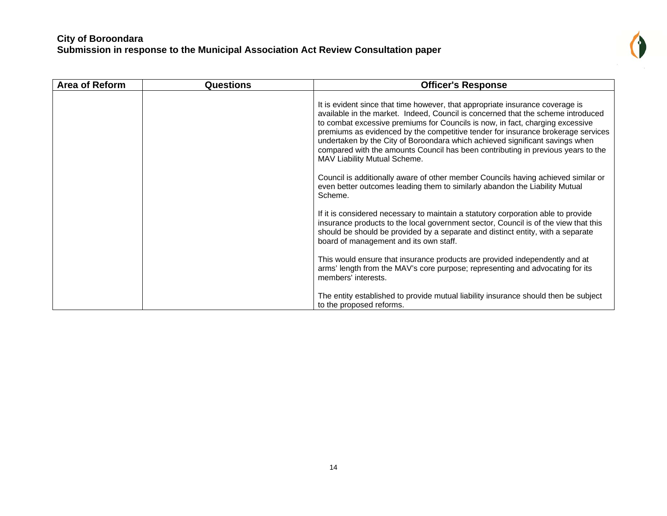| i. |
|----|
|    |
|    |

| <b>Area of Reform</b> | <b>Questions</b> | <b>Officer's Response</b>                                                                                                                                                                                                                                                                                                                                                                                                                                                                                                                  |
|-----------------------|------------------|--------------------------------------------------------------------------------------------------------------------------------------------------------------------------------------------------------------------------------------------------------------------------------------------------------------------------------------------------------------------------------------------------------------------------------------------------------------------------------------------------------------------------------------------|
|                       |                  | It is evident since that time however, that appropriate insurance coverage is<br>available in the market. Indeed, Council is concerned that the scheme introduced<br>to combat excessive premiums for Councils is now, in fact, charging excessive<br>premiums as evidenced by the competitive tender for insurance brokerage services<br>undertaken by the City of Boroondara which achieved significant savings when<br>compared with the amounts Council has been contributing in previous years to the<br>MAV Liability Mutual Scheme. |
|                       |                  | Council is additionally aware of other member Councils having achieved similar or<br>even better outcomes leading them to similarly abandon the Liability Mutual<br>Scheme.                                                                                                                                                                                                                                                                                                                                                                |
|                       |                  | If it is considered necessary to maintain a statutory corporation able to provide<br>insurance products to the local government sector, Council is of the view that this<br>should be should be provided by a separate and distinct entity, with a separate<br>board of management and its own staff.                                                                                                                                                                                                                                      |
|                       |                  | This would ensure that insurance products are provided independently and at<br>arms' length from the MAV's core purpose; representing and advocating for its<br>members' interests.                                                                                                                                                                                                                                                                                                                                                        |
|                       |                  | The entity established to provide mutual liability insurance should then be subject<br>to the proposed reforms.                                                                                                                                                                                                                                                                                                                                                                                                                            |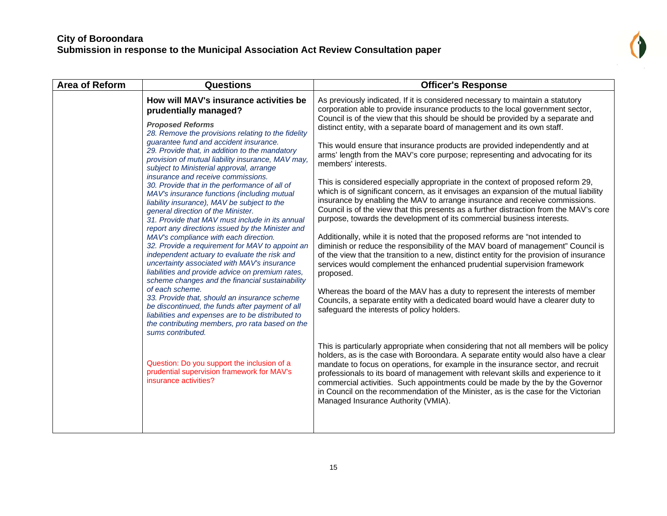

| <b>Area of Reform</b> | <b>Questions</b>                                                                                                                                                                                                                                                                                                                                                                                                                                                                                                                                                                                                                                                                                                                                                                                                                                                                                                                                                                                                                                                                                                                                                                                                                                                                                                                                           | <b>Officer's Response</b>                                                                                                                                                                                                                                                                                                                                                                                                                                                                                                                                                                                                                                                                                                                                                                                                                                                                                                                                                                                                                                                                                                                                                                                                                                                                                                                                                                                                                                                                                                                                                                                                                                                                                                                                                                                                                                                                                                                                                                                                                                                                              |
|-----------------------|------------------------------------------------------------------------------------------------------------------------------------------------------------------------------------------------------------------------------------------------------------------------------------------------------------------------------------------------------------------------------------------------------------------------------------------------------------------------------------------------------------------------------------------------------------------------------------------------------------------------------------------------------------------------------------------------------------------------------------------------------------------------------------------------------------------------------------------------------------------------------------------------------------------------------------------------------------------------------------------------------------------------------------------------------------------------------------------------------------------------------------------------------------------------------------------------------------------------------------------------------------------------------------------------------------------------------------------------------------|--------------------------------------------------------------------------------------------------------------------------------------------------------------------------------------------------------------------------------------------------------------------------------------------------------------------------------------------------------------------------------------------------------------------------------------------------------------------------------------------------------------------------------------------------------------------------------------------------------------------------------------------------------------------------------------------------------------------------------------------------------------------------------------------------------------------------------------------------------------------------------------------------------------------------------------------------------------------------------------------------------------------------------------------------------------------------------------------------------------------------------------------------------------------------------------------------------------------------------------------------------------------------------------------------------------------------------------------------------------------------------------------------------------------------------------------------------------------------------------------------------------------------------------------------------------------------------------------------------------------------------------------------------------------------------------------------------------------------------------------------------------------------------------------------------------------------------------------------------------------------------------------------------------------------------------------------------------------------------------------------------------------------------------------------------------------------------------------------------|
|                       | How will MAV's insurance activities be<br>prudentially managed?<br><b>Proposed Reforms</b><br>28. Remove the provisions relating to the fidelity<br>guarantee fund and accident insurance.<br>29. Provide that, in addition to the mandatory<br>provision of mutual liability insurance, MAV may,<br>subject to Ministerial approval, arrange<br>insurance and receive commissions.<br>30. Provide that in the performance of all of<br>MAV's insurance functions (including mutual<br>liability insurance), MAV be subject to the<br>general direction of the Minister.<br>31. Provide that MAV must include in its annual<br>report any directions issued by the Minister and<br>MAV's compliance with each direction.<br>32. Provide a requirement for MAV to appoint an<br>independent actuary to evaluate the risk and<br>uncertainty associated with MAV's insurance<br>liabilities and provide advice on premium rates,<br>scheme changes and the financial sustainability<br>of each scheme.<br>33. Provide that, should an insurance scheme<br>be discontinued, the funds after payment of all<br>liabilities and expenses are to be distributed to<br>the contributing members, pro rata based on the<br>sums contributed.<br>Question: Do you support the inclusion of a<br>prudential supervision framework for MAV's<br>insurance activities? | As previously indicated, If it is considered necessary to maintain a statutory<br>corporation able to provide insurance products to the local government sector,<br>Council is of the view that this should be should be provided by a separate and<br>distinct entity, with a separate board of management and its own staff.<br>This would ensure that insurance products are provided independently and at<br>arms' length from the MAV's core purpose; representing and advocating for its<br>members' interests.<br>This is considered especially appropriate in the context of proposed reform 29,<br>which is of significant concern, as it envisages an expansion of the mutual liability<br>insurance by enabling the MAV to arrange insurance and receive commissions.<br>Council is of the view that this presents as a further distraction from the MAV's core<br>purpose, towards the development of its commercial business interests.<br>Additionally, while it is noted that the proposed reforms are "not intended to<br>diminish or reduce the responsibility of the MAV board of management" Council is<br>of the view that the transition to a new, distinct entity for the provision of insurance<br>services would complement the enhanced prudential supervision framework<br>proposed.<br>Whereas the board of the MAV has a duty to represent the interests of member<br>Councils, a separate entity with a dedicated board would have a clearer duty to<br>safeguard the interests of policy holders.<br>This is particularly appropriate when considering that not all members will be policy<br>holders, as is the case with Boroondara. A separate entity would also have a clear<br>mandate to focus on operations, for example in the insurance sector, and recruit<br>professionals to its board of management with relevant skills and experience to it<br>commercial activities. Such appointments could be made by the by the Governor<br>in Council on the recommendation of the Minister, as is the case for the Victorian<br>Managed Insurance Authority (VMIA). |